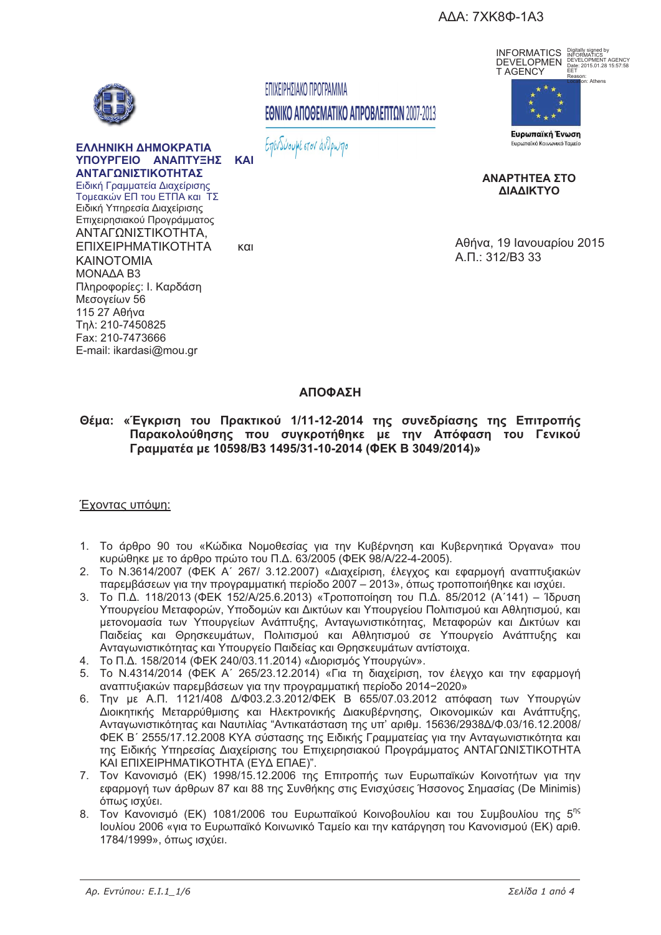ΑΔΑ: 7ΧΚ8Φ-1Α3



ΕΛΛΗΝΙΚΗ ΔΗΜΟΚΡΑΤΙΑ ΥΠΟΥΡΓΕΙΟ ΑΝΑΠΤΥΞΗΣ ΚΑΙ ΑΝΤΑΓΩΝΙΣΤΙΚΟΤΗΤΑΣ Ειδική Γραμματεία Διαχείρισης Τομεακών ΕΠ του ΕΤΠΑ και ΤΣ Ειδική Υπηρεσία Διαχείρισης Επιχειρησιακού Προγράμματος ΑΝΤΑΓΩΝΙΣΤΙΚΟΤΗΤΑ, ΕΠΙΧΕΙΡΗΜΑΤΙΚΟΤΗΤΑ **KAINOTOMIA** MONAAA B3 Πληροφορίες: Ι. Καρδάση Μεσονείων 56 115 27 Αθήνα Tnλ: 210-7450825 Fax: 210-7473666

ΕΠΙΧΕΙΡΗΣΙΑΚΟ ΠΡΟΓΡΑΜΜΑ ΕΘΝΙΚΟ ΑΠΟΘΕΜΑΤΙΚΟ ΑΠΡΟΒΛΕΠΤΩΝ 2007-2013

Επενδύουμε στον άνθρωπο



ICO<br>IENT AGENCY<br>01.28 15:57:58



ΑΝΑΡΤΗΤΕΑ ΣΤΟ ΛΙΔΛΙΚΤΥΩ

Αθήνα, 19 Ιανουαρίου 2015 А.П.: 312/В3 33

 $K<sub>1</sub>$ 

## ΑΠΟΦΑΣΗ

Θέμα: «Έγκριση του Πρακτικού 1/11-12-2014 της συνεδρίασης της Επιτροπής Παρακολούθησης που συγκροτήθηκε με την Απόφαση του Γενικού Γραμματέα με 10598/B3 1495/31-10-2014 (ΦΕΚ Β 3049/2014)»

### Έχοντας υπόψη:

E-mail: ikardasi@mou.gr

- 1. Το άρθρο 90 του «Κώδικα Νομοθεσίας νια την Κυβέρνηση και Κυβερνητικά Όρνανα» που κυρώθηκε με το άρθρο πρώτο του Π.Δ. 63/2005 (ΦΕΚ 98/Α/22-4-2005).
- 2. Το N.3614/2007 (ΦΕΚ Α' 267/ 3.12.2007) «Διαχείριση, έλεγχος και εφαρμογή αναπτυξιακών παρεμβάσεων για την προγραμματική περίοδο 2007 - 2013», όπως τροποποιήθηκε και ισχύει.
- 3. Το Π.Δ. 118/2013 (ΦΕΚ 152/Α/25.6.2013) «Τροποποίηση του Π.Δ. 85/2012 (Α'141) Ίδρυση Υπουργείου Μεταφορών, Υποδομών και Δικτύων και Υπουργείου Πολιτισμού και Αθλητισμού, και μετονομασία των Υπουργείων Ανάπτυξης, Ανταγωνιστικότητας, Μεταφορών και Δικτύων και Παιδείας και Θρησκευμάτων, Πολιτισμού και Αθλητισμού σε Υπουργείο Ανάπτυξης και Ανταγωνιστικότητας και Υπουργείο Παιδείας και Θρησκευμάτων αντίστοιχα.
- 4. Το Π.Δ. 158/2014 (ΦΕΚ 240/03.11.2014) «Διορισμός Υπουργών».
- 5. Το N.4314/2014 (ΦΕΚ Α΄ 265/23.12.2014) «Για τη διαχείριση, τον έλεγχο και την εφαρμογή αναπτυξιακών παρεμβάσεων για την προγραμματική περίοδο 2014-2020»
- 6. Την με Α.Π. 1121/408 Δ/Φ03.2.3.2012/ΦΕΚ Β 655/07.03.2012 απόφαση των Υπουργών Διοικητικής Μεταρρύθμισης και Ηλεκτρονικής Διακυβέρνησης, Οικονομικών και Ανάπτυξης,<br>Ανταγωνιστικότητας και Ναυτιλίας "Αντικατάσταση της υπ' αριθμ. 15636/2938Δ/Φ.03/16.12.2008/ ΦΕΚ Β΄ 2555/17.12.2008 ΚΥΑ σύστασης της Ειδικής Γραμματείας για την Ανταγωνιστικότητα και της Ειδικής Υπηρεσίας Διαχείρισης του Επιχειρησιακού Προγράμματος ΑΝΤΑΓΩΝΙΣΤΙΚΟΤΗΤΑ ΚΑΙ ΕΠΙΧΕΙΡΗΜΑΤΙΚΟΤΗΤΑ (ΕΥΔ ΕΠΑΕ)".
- 7. Τον Κανονισμό (ΕΚ) 1998/15.12.2006 της Επιτροπής των Ευρωπαϊκών Κοινοτήτων νια την εφαρμογή των άρθρων 87 και 88 της Συνθήκης στις Ενισχύσεις Ήσσονος Σημασίας (De Minimis) όπως ισχύει.
- 8. Τον Κανονισμό (ΕΚ) 1081/2006 του Ευρωπαϊκού Κοινοβουλίου και του Συμβουλίου της 5<sup>ης</sup> Ιουλίου 2006 «για το Ευρωπαϊκό Κοινωνικό Ταμείο και την κατάργηση του Κανονισμού (ΕΚ) αριθ. 1784/1999», όπως ισχύει.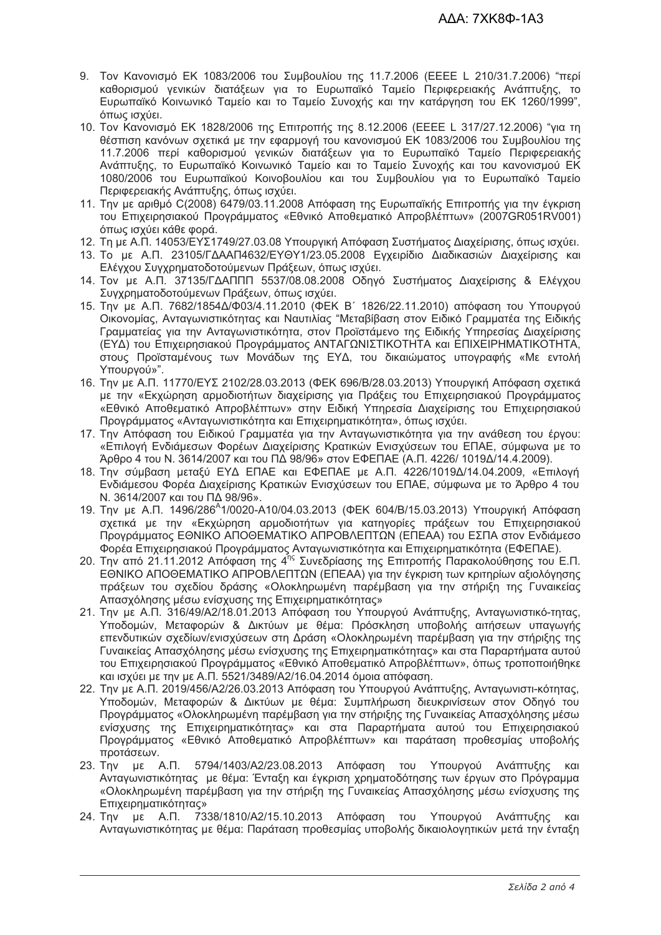- 9. Τον Κανονισμό ΕΚ 1083/2006 του Συμβουλίου της 11.7.2006 (ΕΕΕΕ L 210/31.7.2006) "περί καθορισμού γενικών διατάξεων για το Ευρωπαϊκό Ταμείο Περιφερειακής Ανάπτυξης, το Ευρωπαϊκό Κοινωνικό Ταμείο και το Ταμείο Συνοχής και την κατάργηση του ΕΚ 1260/1999", όπως ισχύει.
- 10. Τον Κανονισμό ΕΚ 1828/2006 της Επιτροπής της 8.12.2006 (ΕΕΕΕ L 317/27.12.2006) "για τη θέσπιση κανόνων σχετικά με την εφαρμογή του κανονισμού ΕΚ 1083/2006 του Συμβουλίου της 11.7.2006 περί καθορισμού γενικών διατάξεων για το Ευρωπαϊκό Ταμείο Περιφερειακής Ανάπτυξης, το Ευρωπαϊκό Κοινωνικό Ταμείο και το Ταμείο Συνοχής και του κανονισμού ΕΚ 1080/2006 του Ευρωπαϊκού Κοινοβουλίου και του Συμβουλίου για το Ευρωπαϊκό Ταμείο Περιφερειακής Ανάπτυξης, όπως ισχύει.
- 11. Την με αριθμό C(2008) 6479/03.11.2008 Απόφαση της Ευρωπαϊκής Επιτροπής για την έγκριση του Επιχειρησιακού Προγράμματος «Εθνικό Αποθεματικό Απροβλέπτων» (2007GR051RV001) όπως ισχύει κάθε φορά.
- 12. Τη με Α.Π. 14053/ΕΥΣ1749/27.03.08 Υπουργική Απόφαση Συστήματος Διαχείρισης, όπως ισχύει.
- 13. Το με Α.Π. 23105/ΓΔΑΑΠ4632/ΕΥΘΥ1/23.05.2008 Εγχειρίδιο Διαδικασιών Διαχείρισης και Ελέγχου Συγχρηματοδοτούμενων Πράξεων, όπως ισχύει.
- 14. Τον με Α.Π. 37135/ΓΔΑΠΠΠ 5537/08.08.2008 Οδηγό Συστήματος Διαχείρισης & Ελέγχου Συγχρηματοδοτούμενων Πράξεων, όπως ισχύει.
- 15. Την με Α.Π. 7682/1854Δ/Φ03/4.11.2010 (ΦΕΚ Β΄ 1826/22.11.2010) απόφαση του Υπουργού Οικονομίας, Ανταγωνιστικότητας και Ναυτιλίας "Μεταβίβαση στον Ειδικό Γραμματέα της Ειδικής Γραμματείας για την Ανταγωνιστικότητα, στον Προϊστάμενο της Ειδικής Υπηρεσίας Διαχείρισης (ΕΥΔ) του Επιχειρησιακού Προγράμματος ΑΝΤΑΓΩΝΙΣΤΙΚΟΤΗΤΑ και ΕΠΙΧΕΙΡΗΜΑΤΙΚΟΤΗΤΑ, στους Προϊσταμένους των Μονάδων της ΕΥΔ, του δικαιώματος υπογραφής «Με εντολή Υπουργού»".
- 16. Την με Α.Π. 11770/ΕΥΣ 2102/28.03.2013 (ΦΕΚ 696/Β/28.03.2013) Υπουργική Απόφαση σχετικά με την «Εκχώρηση αρμοδιοτήτων διαχείρισης για Πράξεις του Επιχειρησιακού Προγράμματος «Εθνικό Αποθεματικό Απροβλέπτων» στην Ειδική Υπηρεσία Διαχείρισης του Επιχειρησιακού Προγράμματος «Ανταγωνιστικότητα και Επιχειρηματικότητα», όπως ισχύει.
- 17. Την Απόφαση του Ειδικού Γραμματέα για την Ανταγωνιστικότητα για την ανάθεση του έργου: «Επιλογή Ενδιάμεσων Φορέων Διαχείρισης Κρατικών Ενισχύσεων του ΕΠΑΕ, σύμφωνα με το Άρθρο 4 του Ν. 3614/2007 και του ΠΔ 98/96» στον ΕΦΕΠΑΕ (Α.Π. 4226/ 1019Δ/14.4.2009).
- 18. Την σύμβαση μεταξύ ΕΥΔ ΕΠΑΕ και ΕΦΕΠΑΕ με Α.Π. 4226/1019Δ/14.04.2009, «Επιλογή Ενδιάμεσου Φορέα Διαχείρισης Κρατικών Ενισχύσεων του ΕΠΑΕ, σύμφωνα με το Άρθρο 4 του Ν. 3614/2007 και του ΠΔ 98/96».
- 19. Την με Α.Π. 1496/286<sup>A</sup>1/0020-A10/04.03.2013 (ΦΕΚ 604/Β/15.03.2013) Υπουργική Απόφαση σχετικά με την «Εκχώρηση αρμοδιοτήτων για κατηγορίες πράξεων του Επιχειρησιακού Προγράμματος ΕΘΝΙΚΟ ΑΠΟΘΕΜΑΤΙΚΟ ΑΠΡΟΒΛΕΠΤΩΝ (ΕΠΕΑΑ) του ΕΣΠΑ στον Ενδιάμεσο Φορέα Επιχειρησιακού Προγράμματος Ανταγωνιστικότητα και Επιχειρηματικότητα (ΕΦΕΠΑΕ).
- 20. Την από 21.11.2012 Απόφαση της 4<sup>ης</sup> Συνεδρίασης της Επιτροπής Παρακολούθησης του Ε.Π. ΕΘΝΙΚΟ ΑΠΟΘΕΜΑΤΙΚΟ ΑΠΡΟΒΛΕΠΤΩΝ (ΕΠΕΑΑ) για την έγκριση των κριτηρίων αξιολόγησης πράξεων του σχεδίου δράσης «Ολοκληρωμένη παρέμβαση για την στήριξη της Γυναικείας Απασχόλησης μέσω ενίσχυσης της Επιχειρηματικότητας»
- 21. Την με Α.Π. 316/49/Α2/18.01.2013 Απόφαση του Υπουργού Ανάπτυξης, Ανταγωνιστικό-τητας, Υποδομών, Μεταφορών & Δικτύων με θέμα: Πρόσκληση υποβολής αιτήσεων υπαγωγής επενδυτικών σχεδίων/ενισχύσεων στη Δράση «Ολοκληρωμένη παρέμβαση για την στήριξης της Γυναικείας Απασχόλησης μέσω ενίσχυσης της Επιχειρηματικότητας» και στα Παραρτήματα αυτού του Επιχειρησιακού Προγράμματος «Εθνικό Αποθεματικό Απροβλέπτων», όπως τροποποιήθηκε και ισχύει με την με Α.Π. 5521/3489/Α2/16.04.2014 όμοια απόφαση.
- 22. Την με Α.Π. 2019/456/Α2/26.03.2013 Απόφαση του Υπουργού Ανάπτυξης, Ανταγωνιστι-κότητας, Υποδομών, Μεταφορών & Δικτύων με θέμα: Συμπλήρωση διευκρινίσεων στον Οδηγό του Προγράμματος «Ολοκληρωμένη παρέμβαση για την στήριξης της Γυναικείας Απασχόλησης μέσω ενίσχυσης της Επιχειρηματικότητας» και στα Παραρτήματα αυτού του Επιχειρησιακού Προγράμματος «Εθνικό Αποθεματικό Απροβλέπτων» και παράταση προθεσμίας υποβολής προτάσεων.
- 23. Την με Α.Π. 5794/1403/Α2/23.08.2013 Απόφαση του Υπουργού Ανάπτυξης και Ανταγωνιστικότητας με θέμα: Ένταξη και έγκριση χρηματοδότησης των έργων στο Πρόγραμμα «Ολοκληρωμένη παρέμβαση για την στήριξη της Γυναικείας Απασχόλησης μέσω ενίσχυσης της Eπιχειρηματικότητας»
- 24. Την με Α.Π. 7338/1810/Α2/15.10.2013 Απόφαση του Υπουργού Ανάπτυξης και Ανταγωνιστικότητας με θέμα: Παράταση προθεσμίας υποβολής δικαιολογητικών μετά την ένταξη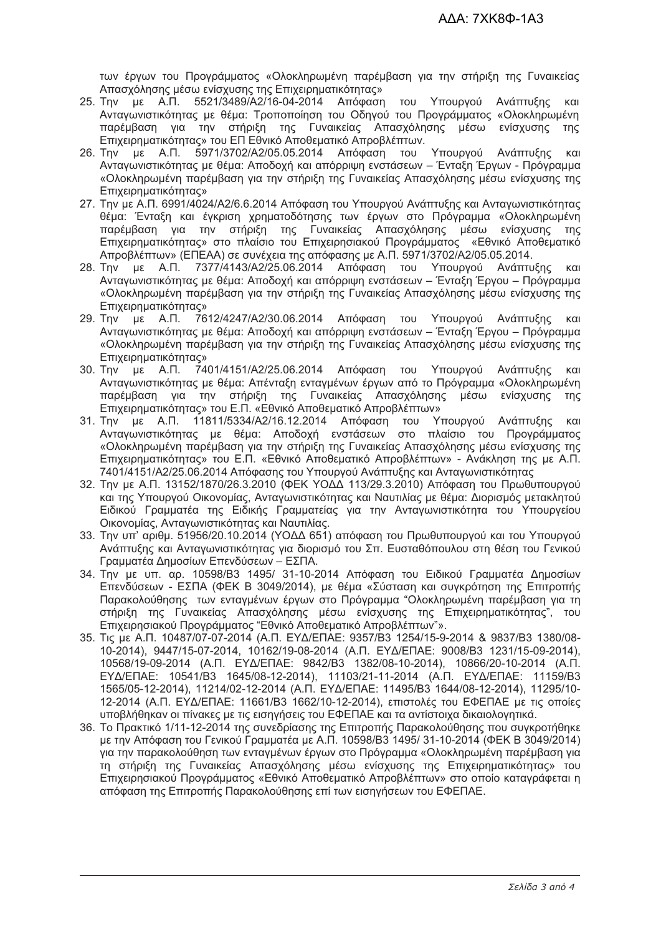των έργων του Προγράμματος «Ολοκληρωμένη παρέμβαση για την στήριξη της Γυναικείας Απασχόλησης μέσω ενίσχυσης της Επιχειρηματικότητας»

- 25. Την με Α.Π. 5521/3489/Α2/16-04-2014 Απόφαση του Υπουργού Ανάπτυξης και Ανταγωνιστικότητας με θέμα: Τροποποίηση του Οδηγού του Προγράμματος «Ολοκληρωμένη παρέμβαση για την στήριξη της Γυναικείας Απασχόλησης μέσω ενίσχυσης της Επιχειρηματικότητας» του ΕΠ Εθνικό Αποθεματικό Απροβλέπτων.
- 26. Την με Α.Π. 5971/3702/A2/05.05.2014 Απόφαση του Υπουργού Ανάπτυξης και Ανταγωνιστικότητας με θέμα: Αποδοχή και απόρριψη ενστάσεων – Ένταξη Έργων - Πρόγραμμα «Ολοκληρωμένη παρέμβαση για την στήριξη της Γυναικείας Απασχόλησης μέσω ενίσχυσης της Eπιχειρηματικότητας»
- 27. Την με Α.Π. 6991/4024/Α2/6.6.2014 Απόφαση του Υπουργού Ανάπτυξης και Ανταγωνιστικότητας θέμα: Ένταξη και έγκριση χρηματοδότησης των έργων στο Πρόγραμμα «Ολοκληρωμένη παρέμβαση για την στήριξη της Γυναικείας Απασχόλησης μέσω ενίσχυσης της Επιχειρηματικότητας» στο πλαίσιο του Επιχειρησιακού Προγράμματος «Εθνικό Αποθεματικό Απροβλέπτων» (ΕΠΕΑΑ) σε συνέχεια της απόφασης με Α.Π. 5971/3702/Α2/05.05.2014.
- 28. Την με Α.Π. 7377/4143/Α2/25.06.2014 Απόφαση του Υπουργού Ανάπτυξης και Ανταγωνιστικότητας με θέμα: Αποδοχή και απόρριψη ενστάσεων – Ένταξη Έργου – Πρόγραμμα «Ολοκληρωμένη παρέμβαση για την στήριξη της Γυναικείας Απασχόλησης μέσω ενίσχυσης της Eπιχειρηματικότητας»
- 29. Την με Α.Π. 7612/4247/Α2/30.06.2014 Απόφαση του Υπουργού Ανάπτυξης και Ανταγωνιστικότητας με θέμα: Αποδοχή και απόρριψη ενστάσεων – Ένταξη Έργου – Πρόγραμμα «Ολοκληρωμένη παρέμβαση για την στήριξη της Γυναικείας Απασχόλησης μέσω ενίσχυσης της Eπιχειρηματικότητας»
- 30. Την με Α.Π. 7401/4151/Α2/25.06.2014 Απόφαση του Υπουργού Ανάπτυξης και Ανταγωνιστικότητας με θέμα: Απένταξη ενταγμένων έργων από το Πρόγραμμα «Ολοκληρωμένη παρέμβαση για την στήριξη της Γυναικείας Απασχόλησης μέσω ενίσχυσης της Επιχειρηματικότητας» του Ε.Π. «Εθνικό Αποθεματικό Απροβλέπτων»
- 31. Την με Α.Π. 11811/5334/Α2/16.12.2014 Απόφαση του Υπουργού Ανάπτυξης και Ανταγωνιστικότητας με θέμα: Αποδοχή ενστάσεων στο πλαίσιο του Προγράμματος «Ολοκληρωμένη παρέμβαση για την στήριξη της Γυναικείας Απασχόλησης μέσω ενίσχυσης της Επιχειρηματικότητας» του Ε.Π. «Εθνικό Αποθεματικό Απροβλέπτων» - Ανάκληση της με Α.Π. 7401/4151/Α2/25.06.2014 Απόφασης του Υπουργού Ανάπτυξης και Ανταγωνιστικότητας
- 32. Την με Α.Π. 13152/1870/26.3.2010 (ΦΕΚ ΥΟΔΔ 113/29.3.2010) Απόφαση του Πρωθυπουργού και της Υπουργού Οικονομίας, Ανταγωνιστικότητας και Ναυτιλίας με θέμα: Διορισμός μετακλητού Ειδικού Γραμματέα της Ειδικής Γραμματείας για την Ανταγωνιστικότητα του Υπουργείου Οικονομίας, Ανταγωνιστικότητας και Ναυτιλίας.
- 33. Την υπ' αριθμ. 51956/20.10.2014 (ΥΟΔΔ 651) απόφαση του Πρωθυπουργού και του Υπουργού Ανάπτυξης και Ανταγωνιστικότητας για διορισμό του Σπ. Ευσταθόπουλου στη θέση του Γενικού Γραμματέα Δημοσίων Επενδύσεων – ΕΣΠΑ.
- 34. Την με υπ. αρ. 10598/B3 1495/ 31-10-2014 Απόφαση του Ειδικού Γραμματέα Δημοσίων Επενδύσεων - ΕΣΠΑ (ΦΕΚ Β 3049/2014), με θέμα «Σύσταση και συγκρότηση της Επιτροπής Παρακολούθησης των ενταγμένων έργων στο Πρόγραμμα "Ολοκληρωμένη παρέμβαση για τη στήριξη της Γυναικείας Απασχόλησης μέσω ενίσχυσης της Επιχειρηματικότητας", του Επιχειρησιακού Προγράμματος "Εθνικό Αποθεματικό Απροβλέπτων"».
- 35. Tıç µɛ A.Π. 10487/07-07-2014 (A.Π. EY∆/EΠAE: 9357/B3 1254/15-9-2014 & 9837/B3 1380/08-10-2014), 9447/15-07-2014, 10162/19-08-2014 (A.N. EY∆/ENAE: 9008/B3 1231/15-09-2014), 10568/19-09-2014 (Α.Π. ΕΥΔ/ΕΠΑΕ: 9842/B3 1382/08-10-2014), 10866/20-10-2014 (Α.Π. EYΔ/EΠΑΕ: 10541/B3 1645/08-12-2014), 11103/21-11-2014 (Α.Π. ΕΥΔ/ΕΠΑΕ: 11159/B3 1565/05-12-2014), 11214/02-12-2014 (A.N. EY∆/ENAE: 11495/B3 1644/08-12-2014), 11295/10-12-2014 (Α.Π. ΕΥΔ/ΕΠΑΕ: 11661/Β3 1662/10-12-2014), επιστολές του ΕΦΕΠΑΕ με τις οποίες υποβλήθηκαν οι πίνακες με τις εισηγήσεις του ΕΦΕΠΑΕ και τα αντίστοιχα δικαιολογητικά.
- 36. Το Πρακτικό 1/11-12-2014 της συνεδρίασης της Επιτροπής Παρακολούθησης που συγκροτήθηκε με την Απόφαση του Γενικού Γραμματέα με Α.Π. 10598/B3 1495/ 31-10-2014 (ΦΕΚ Β 3049/2014) για την παρακολούθηση των ενταγμένων έργων στο Πρόγραμμα «Ολοκληρωμένη παρέμβαση για τη στήριξη της Γυναικείας Απασχόλησης μέσω ενίσχυσης της Επιχειρηματικότητας» του Επιχειρησιακού Προγράμματος «Εθνικό Αποθεματικό Απροβλέπτων» στο οποίο καταγράφεται η απόφαση της Επιτροπής Παρακολούθησης επί των εισηγήσεων του ΕΦΕΠΑΕ.